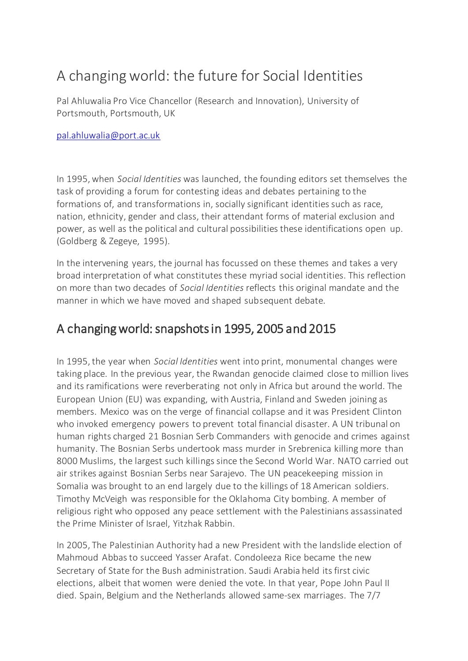# A changing world: the future for Social Identities

Pal Ahluwalia Pro Vice Chancellor (Research and Innovation), University of Portsmouth, Portsmouth, UK

[pal.ahluwalia@port.ac.uk](mailto:pal.ahluwalia@port.ac.uk)

In 1995, when *Social Identities* was launched, the founding editors set themselves the task of providing a forum for contesting ideas and debates pertaining to the formations of, and transformations in, socially significant identities such as race, nation, ethnicity, gender and class, their attendant forms of material exclusion and power, as well as the political and cultural possibilities these identifications open up. (Goldberg & Zegeye, 1995).

In the intervening years, the journal has focussed on these themes and takes a very broad interpretation of what constitutes these myriad social identities. This reflection on more than two decades of *Social Identities* reflects this original mandate and the manner in which we have moved and shaped subsequent debate.

### A changing world: snapshots in 1995, 2005 and 2015

In 1995, the year when *Social Identities* went into print, monumental changes were taking place. In the previous year, the Rwandan genocide claimed close to million lives and its ramifications were reverberating not only in Africa but around the world. The European Union (EU) was expanding, with Austria, Finland and Sweden joining as members. Mexico was on the verge of financial collapse and it was President Clinton who invoked emergency powers to prevent total financial disaster. A UN tribunal on human rights charged 21 Bosnian Serb Commanders with genocide and crimes against humanity. The Bosnian Serbs undertook mass murder in Srebrenica killing more than 8000 Muslims, the largest such killings since the Second World War. NATO carried out air strikes against Bosnian Serbs near Sarajevo. The UN peacekeeping mission in Somalia was brought to an end largely due to the killings of 18 American soldiers. Timothy McVeigh was responsible for the Oklahoma City bombing. A member of religious right who opposed any peace settlement with the Palestinians assassinated the Prime Minister of Israel, Yitzhak Rabbin.

In 2005, The Palestinian Authority had a new President with the landslide election of Mahmoud Abbas to succeed Yasser Arafat. Condoleeza Rice became the new Secretary of State for the Bush administration. Saudi Arabia held its first civic elections, albeit that women were denied the vote. In that year, Pope John Paul II died. Spain, Belgium and the Netherlands allowed same-sex marriages. The 7/7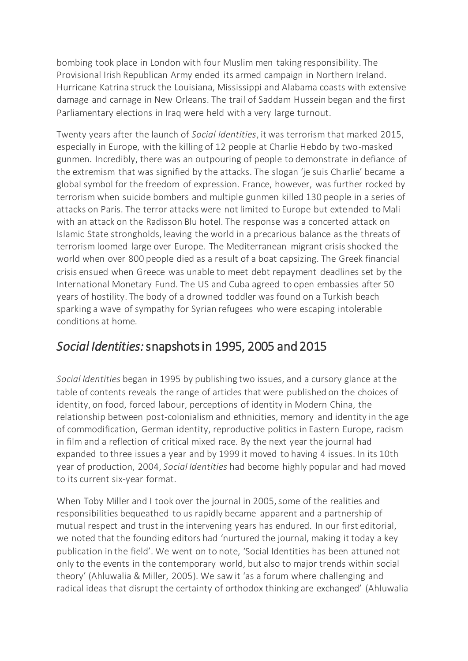bombing took place in London with four Muslim men taking responsibility. The Provisional Irish Republican Army ended its armed campaign in Northern Ireland. Hurricane Katrina struck the Louisiana, Mississippi and Alabama coasts with extensive damage and carnage in New Orleans. The trail of Saddam Hussein began and the first Parliamentary elections in Iraq were held with a very large turnout.

Twenty years after the launch of *Social Identities*, it was terrorism that marked 2015, especially in Europe, with the killing of 12 people at Charlie Hebdo by two-masked gunmen. Incredibly, there was an outpouring of people to demonstrate in defiance of the extremism that was signified by the attacks. The slogan 'je suis Charlie' became a global symbol for the freedom of expression. France, however, was further rocked by terrorism when suicide bombers and multiple gunmen killed 130 people in a series of attacks on Paris. The terror attacks were not limited to Europe but extended to Mali with an attack on the Radisson Blu hotel. The response was a concerted attack on Islamic State strongholds, leaving the world in a precarious balance as the threats of terrorism loomed large over Europe. The Mediterranean migrant crisis shocked the world when over 800 people died as a result of a boat capsizing. The Greek financial crisis ensued when Greece was unable to meet debt repayment deadlines set by the International Monetary Fund. The US and Cuba agreed to open embassies after 50 years of hostility. The body of a drowned toddler was found on a Turkish beach sparking a wave of sympathy for Syrian refugees who were escaping intolerable conditions at home.

#### *Social Identities:* snapshots in 1995, 2005 and 2015

*Social Identities* began in 1995 by publishing two issues, and a cursory glance at the table of contents reveals the range of articles that were published on the choices of identity, on food, forced labour, perceptions of identity in Modern China, the relationship between post-colonialism and ethnicities, memory and identity in the age of commodification, German identity, reproductive politics in Eastern Europe, racism in film and a reflection of critical mixed race. By the next year the journal had expanded to three issues a year and by 1999 it moved to having 4 issues. In its 10th year of production, 2004, *Social Identities* had become highly popular and had moved to its current six-year format.

When Toby Miller and I took over the journal in 2005, some of the realities and responsibilities bequeathed to us rapidly became apparent and a partnership of mutual respect and trust in the intervening years has endured. In our first editorial, we noted that the founding editors had 'nurtured the journal, making it today a key publication in the field'. We went on to note, 'Social Identities has been attuned not only to the events in the contemporary world, but also to major trends within social theory' (Ahluwalia & Miller, 2005). We saw it 'as a forum where challenging and radical ideas that disrupt the certainty of orthodox thinking are exchanged' (Ahluwalia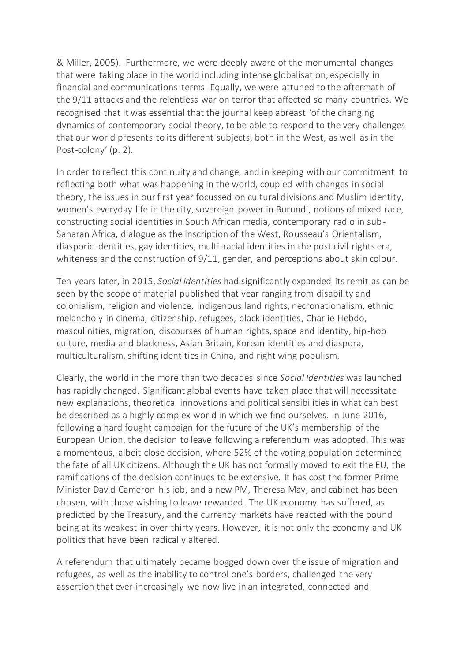& Miller, 2005). Furthermore, we were deeply aware of the monumental changes that were taking place in the world including intense globalisation, especially in financial and communications terms. Equally, we were attuned to the aftermath of the 9/11 attacks and the relentless war on terror that affected so many countries. We recognised that it was essential that the journal keep abreast 'of the changing dynamics of contemporary social theory, to be able to respond to the very challenges that our world presents to its different subjects, both in the West, as well as in the Post-colony' (p. 2).

In order to reflect this continuity and change, and in keeping with our commitment to reflecting both what was happening in the world, coupled with changes in social theory, the issues in our first year focussed on cultural divisions and Muslim identity, women's everyday life in the city, sovereign power in Burundi, notions of mixed race, constructing social identities in South African media, contemporary radio in sub-Saharan Africa, dialogue as the inscription of the West, Rousseau's Orientalism, diasporic identities, gay identities, multi-racial identities in the post civil rights era, whiteness and the construction of 9/11, gender, and perceptions about skin colour.

Ten years later, in 2015, *Social Identities* had significantly expanded its remit as can be seen by the scope of material published that year ranging from disability and colonialism, religion and violence, indigenous land rights, necronationalism, ethnic melancholy in cinema, citizenship, refugees, black identities, Charlie Hebdo, masculinities, migration, discourses of human rights, space and identity, hip-hop culture, media and blackness, Asian Britain, Korean identities and diaspora, multiculturalism, shifting identities in China, and right wing populism.

Clearly, the world in the more than two decades since *Social Identities* was launched has rapidly changed. Significant global events have taken place that will necessitate new explanations, theoretical innovations and political sensibilities in what can best be described as a highly complex world in which we find ourselves. In June 2016, following a hard fought campaign for the future of the UK's membership of the European Union, the decision to leave following a referendum was adopted. This was a momentous, albeit close decision, where 52% of the voting population determined the fate of all UK citizens. Although the UK has not formally moved to exit the EU, the ramifications of the decision continues to be extensive. It has cost the former Prime Minister David Cameron his job, and a new PM, Theresa May, and cabinet has been chosen, with those wishing to leave rewarded. The UK economy has suffered, as predicted by the Treasury, and the currency markets have reacted with the pound being at its weakest in over thirty years. However, it is not only the economy and UK politics that have been radically altered.

A referendum that ultimately became bogged down over the issue of migration and refugees, as well as the inability to control one's borders, challenged the very assertion that ever-increasingly we now live in an integrated, connected and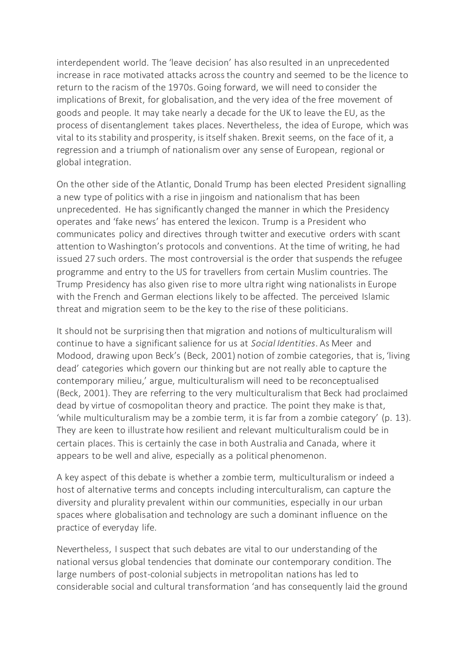interdependent world. The 'leave decision' has also resulted in an unprecedented increase in race motivated attacks across the country and seemed to be the licence to return to the racism of the 1970s. Going forward, we will need to consider the implications of Brexit, for globalisation, and the very idea of the free movement of goods and people. It may take nearly a decade for the UK to leave the EU, as the process of disentanglement takes places. Nevertheless, the idea of Europe, which was vital to its stability and prosperity, is itself shaken. Brexit seems, on the face of it, a regression and a triumph of nationalism over any sense of European, regional or global integration.

On the other side of the Atlantic, Donald Trump has been elected President signalling a new type of politics with a rise in jingoism and nationalism that has been unprecedented. He has significantly changed the manner in which the Presidency operates and 'fake news' has entered the lexicon. Trump is a President who communicates policy and directives through twitter and executive orders with scant attention to Washington's protocols and conventions. At the time of writing, he had issued 27 such orders. The most controversial is the order that suspends the refugee programme and entry to the US for travellers from certain Muslim countries. The Trump Presidency has also given rise to more ultra right wing nationalists in Europe with the French and German elections likely to be affected. The perceived Islamic threat and migration seem to be the key to the rise of these politicians.

It should not be surprising then that migration and notions of multiculturalism will continue to have a significant salience for us at *Social Identities*. As Meer and Modood, drawing upon Beck's (Beck, 2001) notion of zombie categories, that is, 'living dead' categories which govern our thinking but are not really able to capture the contemporary milieu,' argue, multiculturalism will need to be reconceptualised (Beck, 2001). They are referring to the very multiculturalism that Beck had proclaimed dead by virtue of cosmopolitan theory and practice. The point they make is that, 'while multiculturalism may be a zombie term, it is far from a zombie category' (p. 13). They are keen to illustrate how resilient and relevant multiculturalism could be in certain places. This is certainly the case in both Australia and Canada, where it appears to be well and alive, especially as a political phenomenon.

A key aspect of this debate is whether a zombie term, multiculturalism or indeed a host of alternative terms and concepts including interculturalism, can capture the diversity and plurality prevalent within our communities, especially in our urban spaces where globalisation and technology are such a dominant influence on the practice of everyday life.

Nevertheless, I suspect that such debates are vital to our understanding of the national versus global tendencies that dominate our contemporary condition. The large numbers of post-colonial subjects in metropolitan nations has led to considerable social and cultural transformation 'and has consequently laid the ground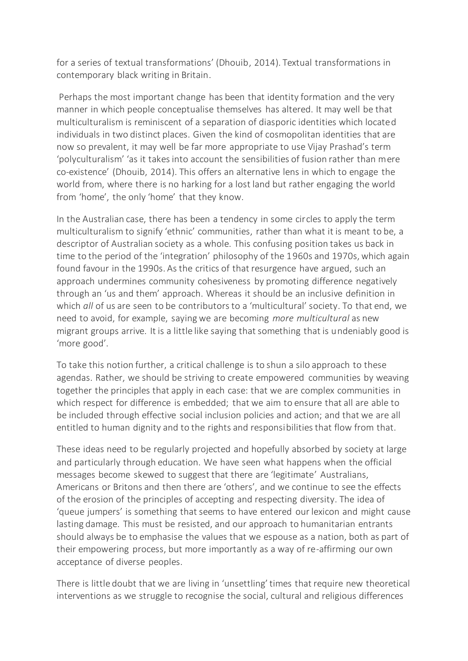for a series of textual transformations' (Dhouib, 2014). Textual transformations in contemporary black writing in Britain.

Perhaps the most important change has been that identity formation and the very manner in which people conceptualise themselves has altered. It may well be that multiculturalism is reminiscent of a separation of diasporic identities which located individuals in two distinct places. Given the kind of cosmopolitan identities that are now so prevalent, it may well be far more appropriate to use Vijay Prashad's term 'polyculturalism' 'as it takes into account the sensibilities of fusion rather than mere co-existence' (Dhouib, 2014). This offers an alternative lens in which to engage the world from, where there is no harking for a lost land but rather engaging the world from 'home', the only 'home' that they know.

In the Australian case, there has been a tendency in some circles to apply the term multiculturalism to signify 'ethnic' communities, rather than what it is meant to be, a descriptor of Australian society as a whole. This confusing position takes us back in time to the period of the 'integration' philosophy of the 1960s and 1970s, which again found favour in the 1990s. As the critics of that resurgence have argued, such an approach undermines community cohesiveness by promoting difference negatively through an 'us and them' approach. Whereas it should be an inclusive definition in which *all* of us are seen to be contributors to a 'multicultural' society. To that end, we need to avoid, for example, saying we are becoming *more multicultural* as new migrant groups arrive. It is a little like saying that something that is undeniably good is 'more good'.

To take this notion further, a critical challenge is to shun a silo approach to these agendas. Rather, we should be striving to create empowered communities by weaving together the principles that apply in each case: that we are complex communities in which respect for difference is embedded; that we aim to ensure that all are able to be included through effective social inclusion policies and action; and that we are all entitled to human dignity and to the rights and responsibilities that flow from that.

These ideas need to be regularly projected and hopefully absorbed by society at large and particularly through education. We have seen what happens when the official messages become skewed to suggest that there are 'legitimate' Australians, Americans or Britons and then there are 'others', and we continue to see the effects of the erosion of the principles of accepting and respecting diversity. The idea of 'queue jumpers' is something that seems to have entered our lexicon and might cause lasting damage. This must be resisted, and our approach to humanitarian entrants should always be to emphasise the values that we espouse as a nation, both as part of their empowering process, but more importantly as a way of re-affirming our own acceptance of diverse peoples.

There is little doubt that we are living in 'unsettling' times that require new theoretical interventions as we struggle to recognise the social, cultural and religious differences